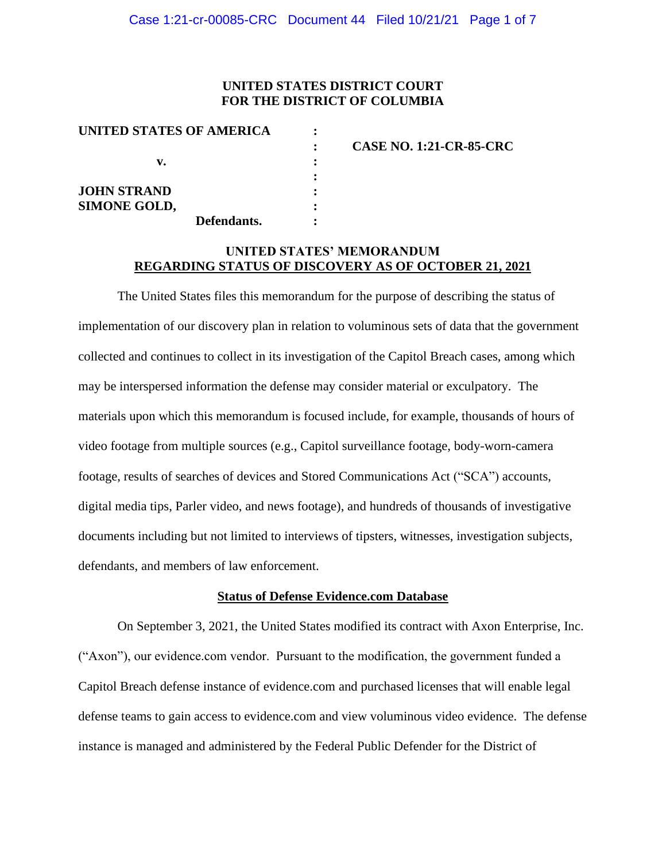### **UNITED STATES DISTRICT COURT FOR THE DISTRICT OF COLUMBIA**

| UNITED STATES OF AMERICA |   |                                |
|--------------------------|---|--------------------------------|
|                          |   | <b>CASE NO. 1:21-CR-85-CRC</b> |
| v.                       |   |                                |
|                          |   |                                |
| <b>JOHN STRAND</b>       | ٠ |                                |
| <b>SIMONE GOLD,</b>      |   |                                |
| Defendants.              |   |                                |

### **UNITED STATES' MEMORANDUM REGARDING STATUS OF DISCOVERY AS OF OCTOBER 21, 2021**

The United States files this memorandum for the purpose of describing the status of implementation of our discovery plan in relation to voluminous sets of data that the government collected and continues to collect in its investigation of the Capitol Breach cases, among which may be interspersed information the defense may consider material or exculpatory. The materials upon which this memorandum is focused include, for example, thousands of hours of video footage from multiple sources (e.g., Capitol surveillance footage, body-worn-camera footage, results of searches of devices and Stored Communications Act ("SCA") accounts, digital media tips, Parler video, and news footage), and hundreds of thousands of investigative documents including but not limited to interviews of tipsters, witnesses, investigation subjects, defendants, and members of law enforcement.

#### **Status of Defense Evidence.com Database**

On September 3, 2021, the United States modified its contract with Axon Enterprise, Inc. ("Axon"), our evidence.com vendor. Pursuant to the modification, the government funded a Capitol Breach defense instance of evidence.com and purchased licenses that will enable legal defense teams to gain access to evidence.com and view voluminous video evidence. The defense instance is managed and administered by the Federal Public Defender for the District of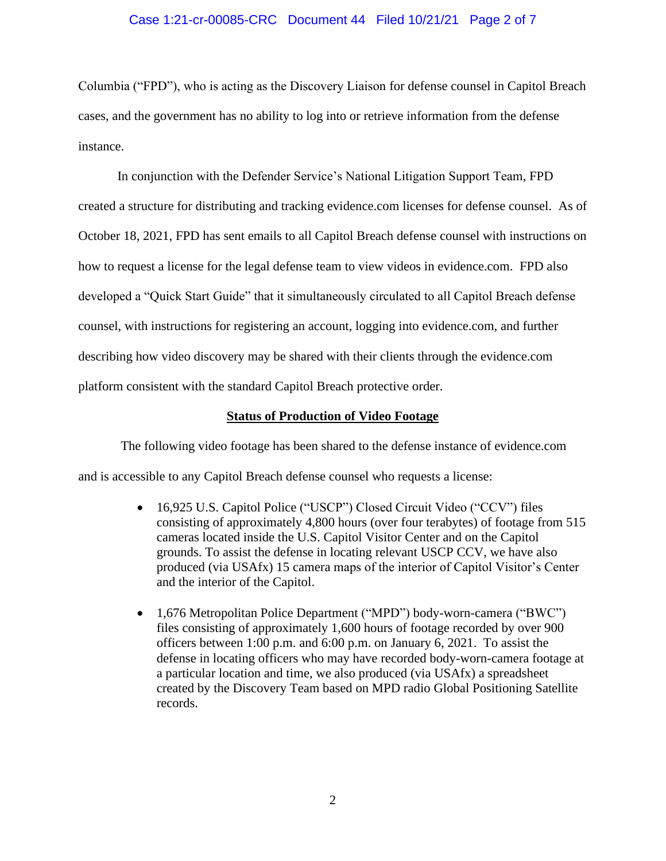### Case 1:21-cr-00085-CRC Document 44 Filed 10/21/21 Page 2 of 7

Columbia ("FPD"), who is acting as the Discovery Liaison for defense counsel in Capitol Breach cases, and the government has no ability to log into or retrieve information from the defense instance.

In conjunction with the Defender Service's National Litigation Support Team, FPD created a structure for distributing and tracking evidence.com licenses for defense counsel. As of October 18, 2021, FPD has sent emails to all Capitol Breach defense counsel with instructions on how to request a license for the legal defense team to view videos in evidence.com. FPD also developed a "Quick Start Guide" that it simultaneously circulated to all Capitol Breach defense counsel, with instructions for registering an account, logging into evidence.com, and further describing how video discovery may be shared with their clients through the evidence.com platform consistent with the standard Capitol Breach protective order.

#### **Status of Production of Video Footage**

The following video footage has been shared to the defense instance of evidence.com and is accessible to any Capitol Breach defense counsel who requests a license:

- 16,925 U.S. Capitol Police ("USCP") Closed Circuit Video ("CCV") files consisting of approximately 4,800 hours (over four terabytes) of footage from 515 cameras located inside the U.S. Capitol Visitor Center and on the Capitol grounds. To assist the defense in locating relevant USCP CCV, we have also produced (via USAfx) 15 camera maps of the interior of Capitol Visitor's Center and the interior of the Capitol.
- 1,676 Metropolitan Police Department ("MPD") body-worn-camera ("BWC") files consisting of approximately 1,600 hours of footage recorded by over 900 officers between 1:00 p.m. and 6:00 p.m. on January 6, 2021. To assist the defense in locating officers who may have recorded body-worn-camera footage at a particular location and time, we also produced (via USAfx) a spreadsheet created by the Discovery Team based on MPD radio Global Positioning Satellite records.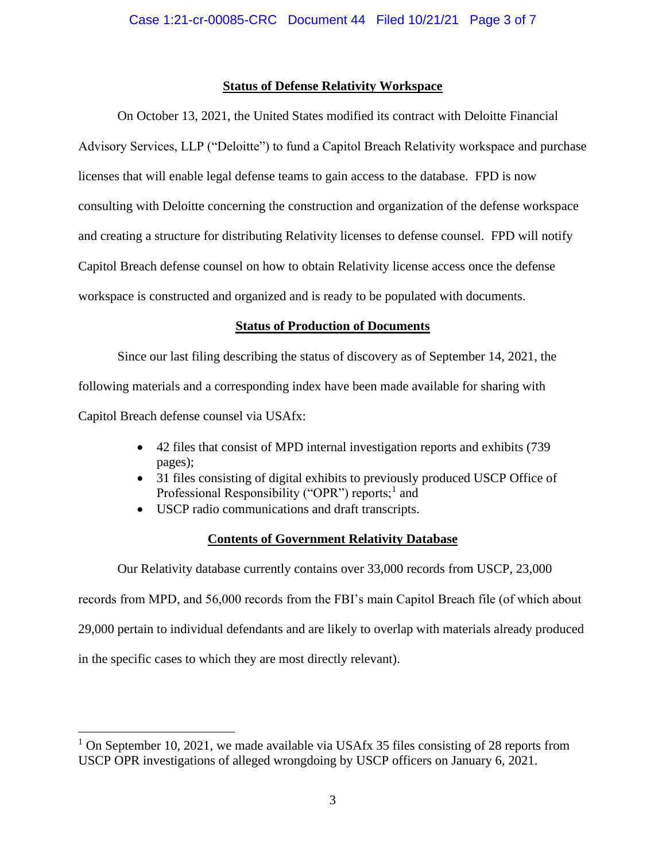### **Status of Defense Relativity Workspace**

On October 13, 2021, the United States modified its contract with Deloitte Financial Advisory Services, LLP ("Deloitte") to fund a Capitol Breach Relativity workspace and purchase licenses that will enable legal defense teams to gain access to the database. FPD is now consulting with Deloitte concerning the construction and organization of the defense workspace and creating a structure for distributing Relativity licenses to defense counsel. FPD will notify Capitol Breach defense counsel on how to obtain Relativity license access once the defense workspace is constructed and organized and is ready to be populated with documents.

## **Status of Production of Documents**

Since our last filing describing the status of discovery as of September 14, 2021, the following materials and a corresponding index have been made available for sharing with Capitol Breach defense counsel via USAfx:

- 42 files that consist of MPD internal investigation reports and exhibits (739 pages);
- 31 files consisting of digital exhibits to previously produced USCP Office of Professional Responsibility ("OPR") reports;<sup>1</sup> and
- USCP radio communications and draft transcripts.

### **Contents of Government Relativity Database**

Our Relativity database currently contains over 33,000 records from USCP, 23,000 records from MPD, and 56,000 records from the FBI's main Capitol Breach file (of which about 29,000 pertain to individual defendants and are likely to overlap with materials already produced in the specific cases to which they are most directly relevant).

<sup>&</sup>lt;sup>1</sup> On September 10, 2021, we made available via USAfx 35 files consisting of 28 reports from USCP OPR investigations of alleged wrongdoing by USCP officers on January 6, 2021.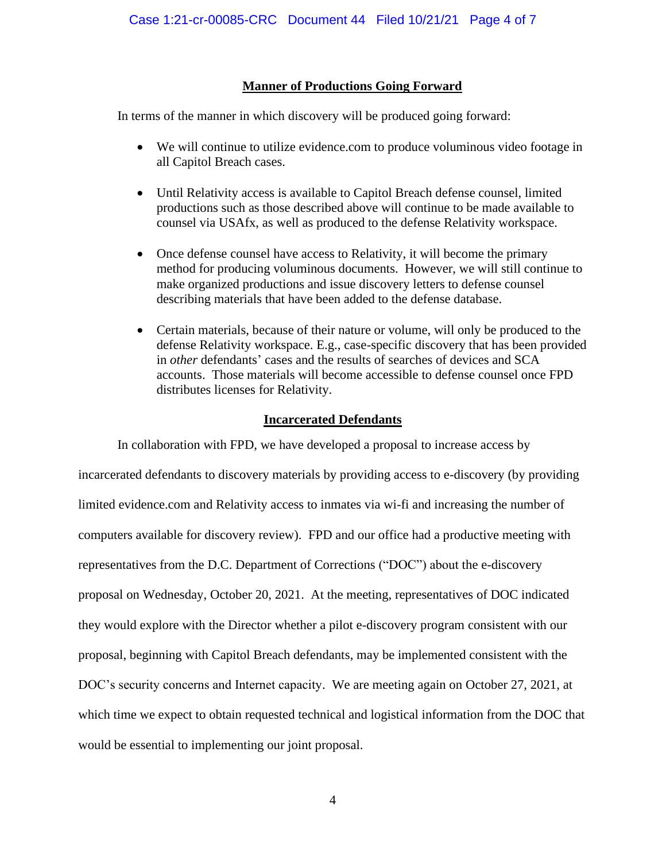## **Manner of Productions Going Forward**

In terms of the manner in which discovery will be produced going forward:

- We will continue to utilize evidence.com to produce voluminous video footage in all Capitol Breach cases.
- Until Relativity access is available to Capitol Breach defense counsel, limited productions such as those described above will continue to be made available to counsel via USAfx, as well as produced to the defense Relativity workspace.
- Once defense counsel have access to Relativity, it will become the primary method for producing voluminous documents. However, we will still continue to make organized productions and issue discovery letters to defense counsel describing materials that have been added to the defense database.
- Certain materials, because of their nature or volume, will only be produced to the defense Relativity workspace. E.g., case-specific discovery that has been provided in *other* defendants' cases and the results of searches of devices and SCA accounts. Those materials will become accessible to defense counsel once FPD distributes licenses for Relativity.

## **Incarcerated Defendants**

In collaboration with FPD, we have developed a proposal to increase access by incarcerated defendants to discovery materials by providing access to e-discovery (by providing limited evidence.com and Relativity access to inmates via wi-fi and increasing the number of computers available for discovery review). FPD and our office had a productive meeting with representatives from the D.C. Department of Corrections ("DOC") about the e-discovery proposal on Wednesday, October 20, 2021. At the meeting, representatives of DOC indicated they would explore with the Director whether a pilot e-discovery program consistent with our proposal, beginning with Capitol Breach defendants, may be implemented consistent with the DOC's security concerns and Internet capacity. We are meeting again on October 27, 2021, at which time we expect to obtain requested technical and logistical information from the DOC that would be essential to implementing our joint proposal.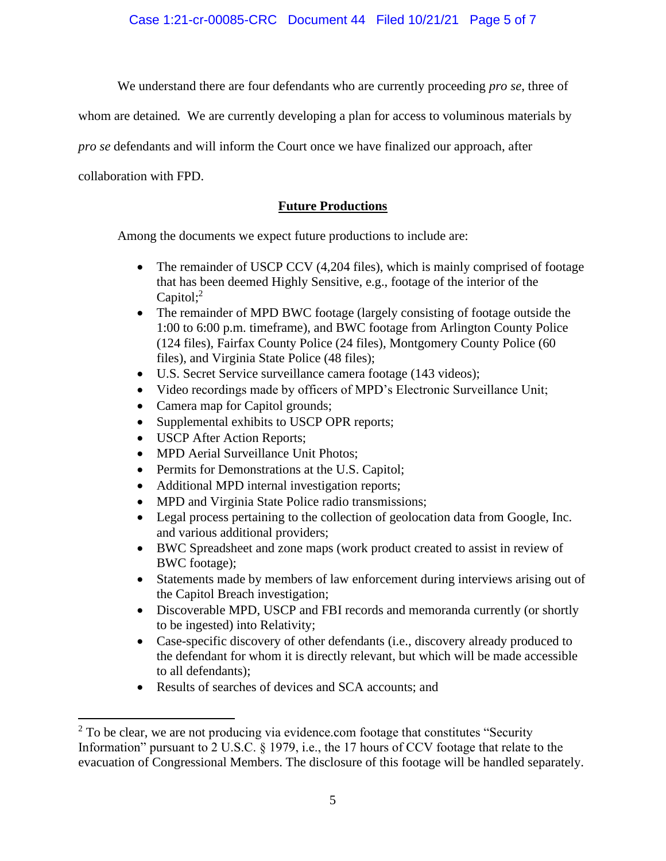Case 1:21-cr-00085-CRC Document 44 Filed 10/21/21 Page 5 of 7

We understand there are four defendants who are currently proceeding *pro se*, three of

whom are detained*.* We are currently developing a plan for access to voluminous materials by

*pro se* defendants and will inform the Court once we have finalized our approach, after

collaboration with FPD.

## **Future Productions**

Among the documents we expect future productions to include are:

- The remainder of USCP CCV (4,204 files), which is mainly comprised of footage that has been deemed Highly Sensitive, e.g., footage of the interior of the Capitol;<sup>2</sup>
- The remainder of MPD BWC footage (largely consisting of footage outside the 1:00 to 6:00 p.m. timeframe), and BWC footage from Arlington County Police (124 files), Fairfax County Police (24 files), Montgomery County Police (60 files), and Virginia State Police (48 files);
- U.S. Secret Service surveillance camera footage (143 videos);
- Video recordings made by officers of MPD's Electronic Surveillance Unit;
- Camera map for Capitol grounds;
- Supplemental exhibits to USCP OPR reports;
- USCP After Action Reports;
- MPD Aerial Surveillance Unit Photos;
- Permits for Demonstrations at the U.S. Capitol;
- Additional MPD internal investigation reports;
- MPD and Virginia State Police radio transmissions;
- Legal process pertaining to the collection of geolocation data from Google, Inc. and various additional providers;
- BWC Spreadsheet and zone maps (work product created to assist in review of BWC footage);
- Statements made by members of law enforcement during interviews arising out of the Capitol Breach investigation;
- Discoverable MPD, USCP and FBI records and memoranda currently (or shortly to be ingested) into Relativity;
- Case-specific discovery of other defendants (i.e., discovery already produced to the defendant for whom it is directly relevant, but which will be made accessible to all defendants);
- Results of searches of devices and SCA accounts; and

 $2$  To be clear, we are not producing via evidence.com footage that constitutes "Security" Information" pursuant to 2 U.S.C. § 1979, i.e., the 17 hours of CCV footage that relate to the evacuation of Congressional Members. The disclosure of this footage will be handled separately.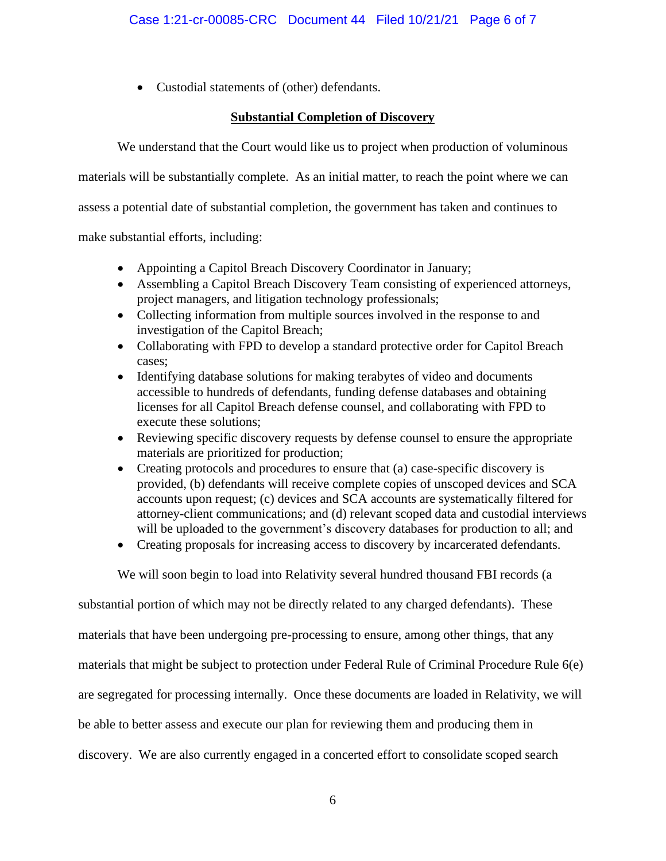• Custodial statements of (other) defendants.

# **Substantial Completion of Discovery**

We understand that the Court would like us to project when production of voluminous

materials will be substantially complete. As an initial matter, to reach the point where we can

assess a potential date of substantial completion, the government has taken and continues to

make substantial efforts, including:

- Appointing a Capitol Breach Discovery Coordinator in January;
- Assembling a Capitol Breach Discovery Team consisting of experienced attorneys, project managers, and litigation technology professionals;
- Collecting information from multiple sources involved in the response to and investigation of the Capitol Breach;
- Collaborating with FPD to develop a standard protective order for Capitol Breach cases;
- Identifying database solutions for making terabytes of video and documents accessible to hundreds of defendants, funding defense databases and obtaining licenses for all Capitol Breach defense counsel, and collaborating with FPD to execute these solutions;
- Reviewing specific discovery requests by defense counsel to ensure the appropriate materials are prioritized for production;
- Creating protocols and procedures to ensure that (a) case-specific discovery is provided, (b) defendants will receive complete copies of unscoped devices and SCA accounts upon request; (c) devices and SCA accounts are systematically filtered for attorney-client communications; and (d) relevant scoped data and custodial interviews will be uploaded to the government's discovery databases for production to all; and
- Creating proposals for increasing access to discovery by incarcerated defendants.

We will soon begin to load into Relativity several hundred thousand FBI records (a

substantial portion of which may not be directly related to any charged defendants). These materials that have been undergoing pre-processing to ensure, among other things, that any materials that might be subject to protection under Federal Rule of Criminal Procedure Rule 6(e) are segregated for processing internally. Once these documents are loaded in Relativity, we will be able to better assess and execute our plan for reviewing them and producing them in discovery. We are also currently engaged in a concerted effort to consolidate scoped search